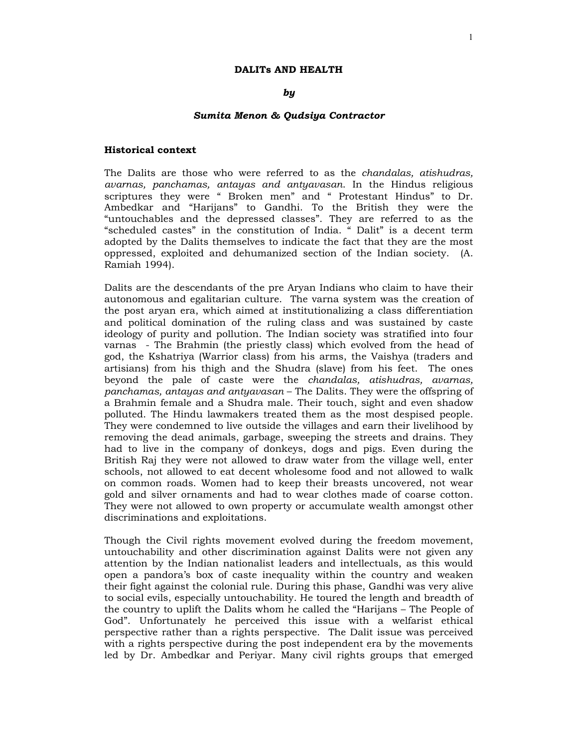# *by*

#### *Sumita Menon & Qudsiya Contractor*

### **Historical context**

The Dalits are those who were referred to as the *chandalas, atishudras, avarnas, panchamas, antayas and antyavasan*. In the Hindus religious scriptures they were " Broken men" and " Protestant Hindus" to Dr. Ambedkar and "Harijans" to Gandhi. To the British they were the "untouchables and the depressed classes". They are referred to as the "scheduled castes" in the constitution of India. " Dalit" is a decent term adopted by the Dalits themselves to indicate the fact that they are the most oppressed, exploited and dehumanized section of the Indian society. (A. Ramiah 1994).

Dalits are the descendants of the pre Aryan Indians who claim to have their autonomous and egalitarian culture. The varna system was the creation of the post aryan era, which aimed at institutionalizing a class differentiation and political domination of the ruling class and was sustained by caste ideology of purity and pollution. The Indian society was stratified into four varnas - The Brahmin (the priestly class) which evolved from the head of god, the Kshatriya (Warrior class) from his arms, the Vaishya (traders and artisians) from his thigh and the Shudra (slave) from his feet. The ones beyond the pale of caste were the *chandalas, atishudras, avarnas, panchamas, antayas and antyavasan* – The Dalits. They were the offspring of a Brahmin female and a Shudra male. Their touch, sight and even shadow polluted. The Hindu lawmakers treated them as the most despised people. They were condemned to live outside the villages and earn their livelihood by removing the dead animals, garbage, sweeping the streets and drains. They had to live in the company of donkeys, dogs and pigs. Even during the British Raj they were not allowed to draw water from the village well, enter schools, not allowed to eat decent wholesome food and not allowed to walk on common roads. Women had to keep their breasts uncovered, not wear gold and silver ornaments and had to wear clothes made of coarse cotton. They were not allowed to own property or accumulate wealth amongst other discriminations and exploitations.

Though the Civil rights movement evolved during the freedom movement, untouchability and other discrimination against Dalits were not given any attention by the Indian nationalist leaders and intellectuals, as this would open a pandora's box of caste inequality within the country and weaken their fight against the colonial rule. During this phase, Gandhi was very alive to social evils, especially untouchability. He toured the length and breadth of the country to uplift the Dalits whom he called the "Harijans – The People of God". Unfortunately he perceived this issue with a welfarist ethical perspective rather than a rights perspective. The Dalit issue was perceived with a rights perspective during the post independent era by the movements led by Dr. Ambedkar and Periyar. Many civil rights groups that emerged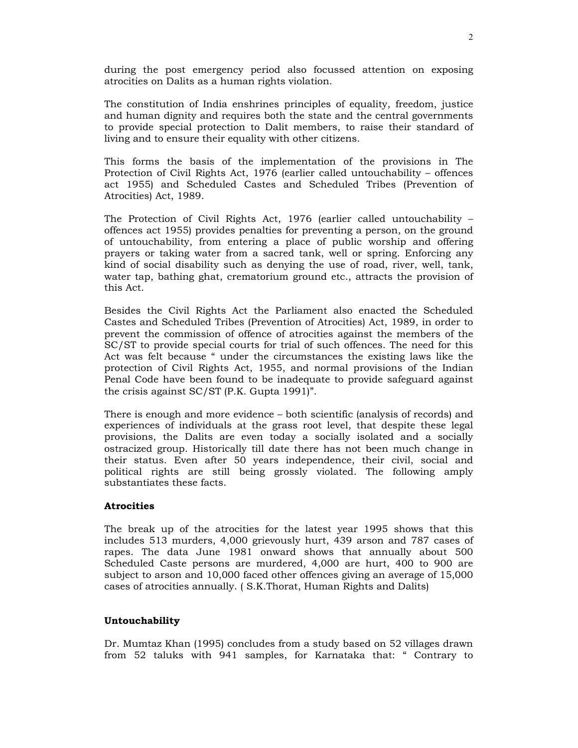during the post emergency period also focussed attention on exposing atrocities on Dalits as a human rights violation.

The constitution of India enshrines principles of equality, freedom, justice and human dignity and requires both the state and the central governments to provide special protection to Dalit members, to raise their standard of living and to ensure their equality with other citizens.

This forms the basis of the implementation of the provisions in The Protection of Civil Rights Act, 1976 (earlier called untouchability – offences act 1955) and Scheduled Castes and Scheduled Tribes (Prevention of Atrocities) Act, 1989.

The Protection of Civil Rights Act, 1976 (earlier called untouchability – offences act 1955) provides penalties for preventing a person, on the ground of untouchability, from entering a place of public worship and offering prayers or taking water from a sacred tank, well or spring. Enforcing any kind of social disability such as denying the use of road, river, well, tank, water tap, bathing ghat, crematorium ground etc., attracts the provision of this Act.

Besides the Civil Rights Act the Parliament also enacted the Scheduled Castes and Scheduled Tribes (Prevention of Atrocities) Act, 1989, in order to prevent the commission of offence of atrocities against the members of the SC/ST to provide special courts for trial of such offences. The need for this Act was felt because " under the circumstances the existing laws like the protection of Civil Rights Act, 1955, and normal provisions of the Indian Penal Code have been found to be inadequate to provide safeguard against the crisis against SC/ST (P.K. Gupta 1991)".

There is enough and more evidence – both scientific (analysis of records) and experiences of individuals at the grass root level, that despite these legal provisions, the Dalits are even today a socially isolated and a socially ostracized group. Historically till date there has not been much change in their status. Even after 50 years independence, their civil, social and political rights are still being grossly violated. The following amply substantiates these facts.

### **Atrocities**

The break up of the atrocities for the latest year 1995 shows that this includes 513 murders, 4,000 grievously hurt, 439 arson and 787 cases of rapes. The data June 1981 onward shows that annually about 500 Scheduled Caste persons are murdered, 4,000 are hurt, 400 to 900 are subject to arson and 10,000 faced other offences giving an average of 15,000 cases of atrocities annually. ( S.K.Thorat, Human Rights and Dalits)

### **Untouchability**

Dr. Mumtaz Khan (1995) concludes from a study based on 52 villages drawn from 52 taluks with 941 samples, for Karnataka that: " Contrary to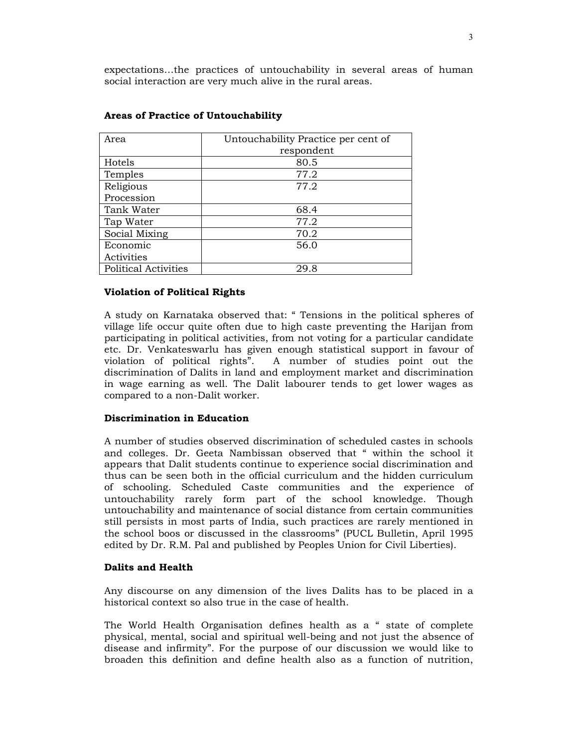expectations…the practices of untouchability in several areas of human social interaction are very much alive in the rural areas.

| Area                        | Untouchability Practice per cent of |
|-----------------------------|-------------------------------------|
|                             | respondent                          |
| Hotels                      | 80.5                                |
| Temples                     | 77.2                                |
| Religious                   | 77.2                                |
| Procession                  |                                     |
| Tank Water                  | 68.4                                |
| Tap Water                   | 77.2                                |
| Social Mixing               | 70.2                                |
| Economic                    | 56.0                                |
| Activities                  |                                     |
| <b>Political Activities</b> | 29.8                                |

## **Areas of Practice of Untouchability**

### **Violation of Political Rights**

A study on Karnataka observed that: " Tensions in the political spheres of village life occur quite often due to high caste preventing the Harijan from participating in political activities, from not voting for a particular candidate etc. Dr. Venkateswarlu has given enough statistical support in favour of violation of political rights". A number of studies point out the discrimination of Dalits in land and employment market and discrimination in wage earning as well. The Dalit labourer tends to get lower wages as compared to a non-Dalit worker.

### **Discrimination in Education**

A number of studies observed discrimination of scheduled castes in schools and colleges. Dr. Geeta Nambissan observed that " within the school it appears that Dalit students continue to experience social discrimination and thus can be seen both in the official curriculum and the hidden curriculum of schooling. Scheduled Caste communities and the experience of untouchability rarely form part of the school knowledge. Though untouchability and maintenance of social distance from certain communities still persists in most parts of India, such practices are rarely mentioned in the school boos or discussed in the classrooms" (PUCL Bulletin, April 1995 edited by Dr. R.M. Pal and published by Peoples Union for Civil Liberties).

### **Dalits and Health**

Any discourse on any dimension of the lives Dalits has to be placed in a historical context so also true in the case of health.

The World Health Organisation defines health as a " state of complete physical, mental, social and spiritual well-being and not just the absence of disease and infirmity". For the purpose of our discussion we would like to broaden this definition and define health also as a function of nutrition,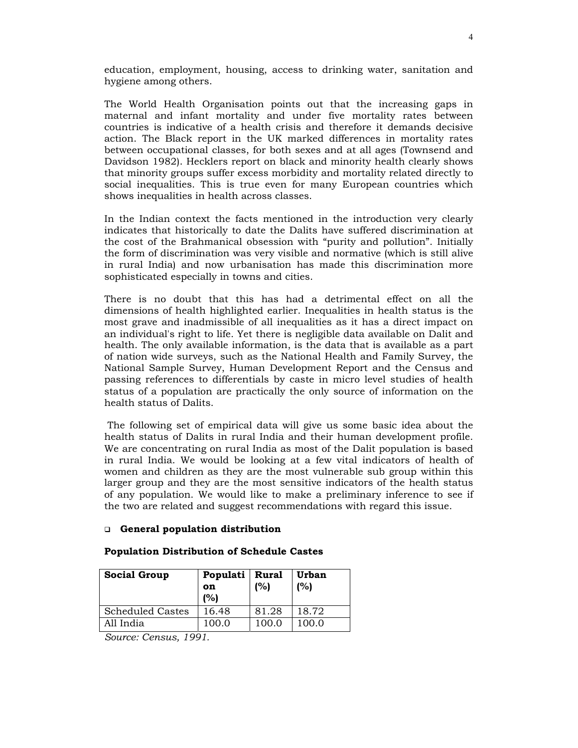education, employment, housing, access to drinking water, sanitation and hygiene among others.

The World Health Organisation points out that the increasing gaps in maternal and infant mortality and under five mortality rates between countries is indicative of a health crisis and therefore it demands decisive action. The Black report in the UK marked differences in mortality rates between occupational classes, for both sexes and at all ages (Townsend and Davidson 1982). Hecklers report on black and minority health clearly shows that minority groups suffer excess morbidity and mortality related directly to social inequalities. This is true even for many European countries which shows inequalities in health across classes.

In the Indian context the facts mentioned in the introduction very clearly indicates that historically to date the Dalits have suffered discrimination at the cost of the Brahmanical obsession with "purity and pollution". Initially the form of discrimination was very visible and normative (which is still alive in rural India) and now urbanisation has made this discrimination more sophisticated especially in towns and cities.

There is no doubt that this has had a detrimental effect on all the dimensions of health highlighted earlier. Inequalities in health status is the most grave and inadmissible of all inequalities as it has a direct impact on an individual's right to life. Yet there is negligible data available on Dalit and health. The only available information, is the data that is available as a part of nation wide surveys, such as the National Health and Family Survey, the National Sample Survey, Human Development Report and the Census and passing references to differentials by caste in micro level studies of health status of a population are practically the only source of information on the health status of Dalits.

 The following set of empirical data will give us some basic idea about the health status of Dalits in rural India and their human development profile. We are concentrating on rural India as most of the Dalit population is based in rural India. We would be looking at a few vital indicators of health of women and children as they are the most vulnerable sub group within this larger group and they are the most sensitive indicators of the health status of any population. We would like to make a preliminary inference to see if the two are related and suggest recommendations with regard this issue.

### **General population distribution**

| <b>Social Group</b>     | Populati<br>on<br>(%) | <b>Rural</b><br>(%) | Urban<br>(%) |
|-------------------------|-----------------------|---------------------|--------------|
| <b>Scheduled Castes</b> | 16.48                 | 81.28               | 18.72        |
| All India               | 100.0                 | 100.0               | 100.0        |

#### **Population Distribution of Schedule Castes**

*Source: Census, 1991.*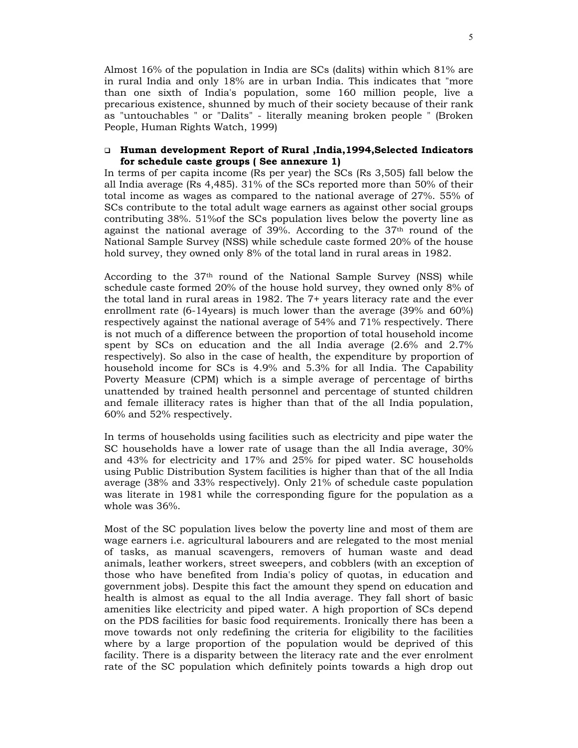Almost 16% of the population in India are SCs (dalits) within which 81% are in rural India and only 18% are in urban India. This indicates that "more than one sixth of India's population, some 160 million people, live a precarious existence, shunned by much of their society because of their rank as "untouchables " or "Dalits" - literally meaning broken people " (Broken People, Human Rights Watch, 1999)

### **Human development Report of Rural ,India,1994,Selected Indicators for schedule caste groups ( See annexure 1)**

In terms of per capita income (Rs per year) the SCs (Rs 3,505) fall below the all India average (Rs 4,485). 31% of the SCs reported more than 50% of their total income as wages as compared to the national average of 27%. 55% of SCs contribute to the total adult wage earners as against other social groups contributing 38%. 51%of the SCs population lives below the poverty line as against the national average of 39%. According to the 37th round of the National Sample Survey (NSS) while schedule caste formed 20% of the house hold survey, they owned only 8% of the total land in rural areas in 1982.

According to the  $37<sup>th</sup>$  round of the National Sample Survey (NSS) while schedule caste formed 20% of the house hold survey, they owned only 8% of the total land in rural areas in 1982. The 7+ years literacy rate and the ever enrollment rate (6-14years) is much lower than the average (39% and 60%) respectively against the national average of 54% and 71% respectively. There is not much of a difference between the proportion of total household income spent by SCs on education and the all India average (2.6% and 2.7% respectively). So also in the case of health, the expenditure by proportion of household income for SCs is 4.9% and 5.3% for all India. The Capability Poverty Measure (CPM) which is a simple average of percentage of births unattended by trained health personnel and percentage of stunted children and female illiteracy rates is higher than that of the all India population, 60% and 52% respectively.

In terms of households using facilities such as electricity and pipe water the SC households have a lower rate of usage than the all India average, 30% and 43% for electricity and 17% and 25% for piped water. SC households using Public Distribution System facilities is higher than that of the all India average (38% and 33% respectively). Only 21% of schedule caste population was literate in 1981 while the corresponding figure for the population as a whole was 36%.

Most of the SC population lives below the poverty line and most of them are wage earners i.e. agricultural labourers and are relegated to the most menial of tasks, as manual scavengers, removers of human waste and dead animals, leather workers, street sweepers, and cobblers (with an exception of those who have benefited from India's policy of quotas, in education and government jobs). Despite this fact the amount they spend on education and health is almost as equal to the all India average. They fall short of basic amenities like electricity and piped water. A high proportion of SCs depend on the PDS facilities for basic food requirements. Ironically there has been a move towards not only redefining the criteria for eligibility to the facilities where by a large proportion of the population would be deprived of this facility. There is a disparity between the literacy rate and the ever enrolment rate of the SC population which definitely points towards a high drop out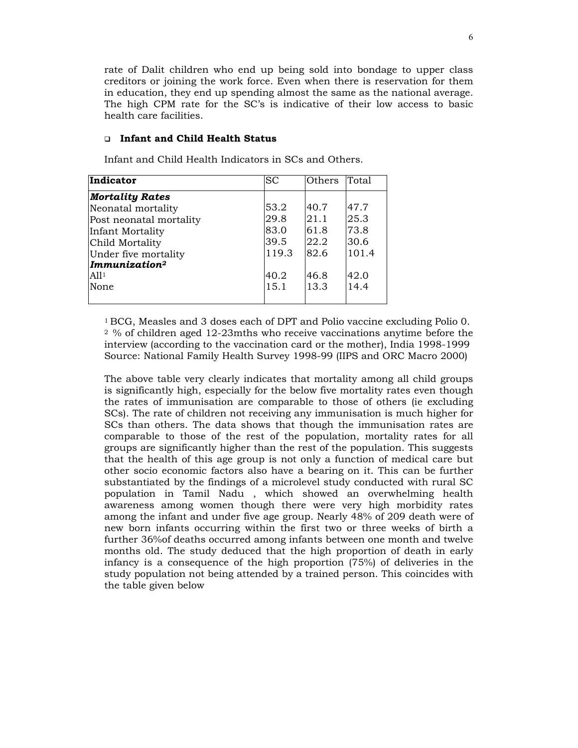rate of Dalit children who end up being sold into bondage to upper class creditors or joining the work force. Even when there is reservation for them in education, they end up spending almost the same as the national average. The high CPM rate for the SC's is indicative of their low access to basic health care facilities.

#### **Infant and Child Health Status**

| Indicator               | <b>SC</b> | Others | Total |
|-------------------------|-----------|--------|-------|
| <b>Mortality Rates</b>  |           |        |       |
| Neonatal mortality      | 53.2      | 40.7   | 47.7  |
| Post neonatal mortality | 29.8      | 21.1   | 25.3  |
| Infant Mortality        | 83.0      | 61.8   | 73.8  |
| Child Mortality         | 39.5      | 22.2   | 30.6  |
| Under five mortality    | 119.3     | 82.6   | 101.4 |
| $\sqrt{Immunization^2}$ |           |        |       |
| Al1 <sup>1</sup>        | 40.2      | 46.8   | 42.0  |
| None                    | 15.1      | 13.3   | 14.4  |
|                         |           |        |       |

Infant and Child Health Indicators in SCs and Others.

1 BCG, Measles and 3 doses each of DPT and Polio vaccine excluding Polio 0. 2 % of children aged 12-23mths who receive vaccinations anytime before the interview (according to the vaccination card or the mother), India 1998-1999 Source: National Family Health Survey 1998-99 (IIPS and ORC Macro 2000)

The above table very clearly indicates that mortality among all child groups is significantly high, especially for the below five mortality rates even though the rates of immunisation are comparable to those of others (ie excluding SCs). The rate of children not receiving any immunisation is much higher for SCs than others. The data shows that though the immunisation rates are comparable to those of the rest of the population, mortality rates for all groups are significantly higher than the rest of the population. This suggests that the health of this age group is not only a function of medical care but other socio economic factors also have a bearing on it. This can be further substantiated by the findings of a microlevel study conducted with rural SC population in Tamil Nadu , which showed an overwhelming health awareness among women though there were very high morbidity rates among the infant and under five age group. Nearly 48% of 209 death were of new born infants occurring within the first two or three weeks of birth a further 36%of deaths occurred among infants between one month and twelve months old. The study deduced that the high proportion of death in early infancy is a consequence of the high proportion (75%) of deliveries in the study population not being attended by a trained person. This coincides with the table given below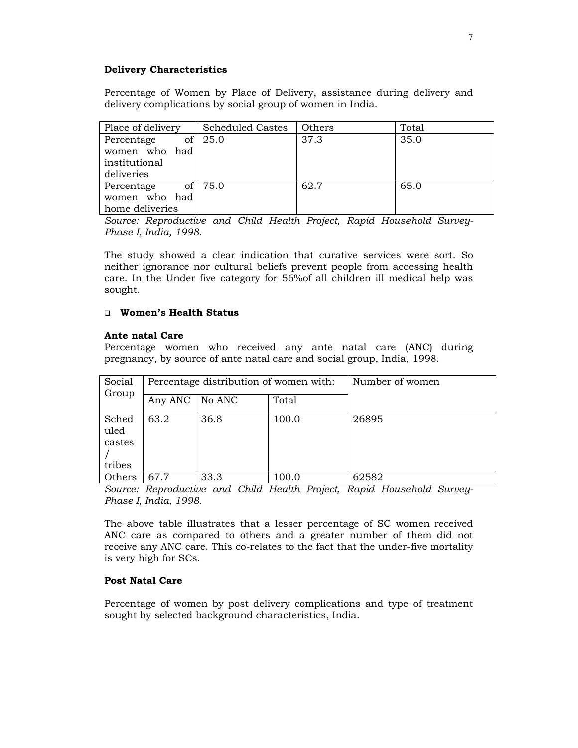## **Delivery Characteristics**

Percentage of Women by Place of Delivery, assistance during delivery and delivery complications by social group of women in India.

| Place of delivery | <b>Scheduled Castes</b> | Others | Total |
|-------------------|-------------------------|--------|-------|
| οf<br>Percentage  | 25.0                    | 37.3   | 35.0  |
| women who had     |                         |        |       |
| institutional     |                         |        |       |
| deliveries        |                         |        |       |
| Percentage        | of 75.0                 | 62.7   | 65.0  |
| women who had     |                         |        |       |
| home deliveries   |                         |        |       |

*Source: Reproductive and Child Health Project, Rapid Household Survey-Phase I, India, 1998.* 

The study showed a clear indication that curative services were sort. So neither ignorance nor cultural beliefs prevent people from accessing health care. In the Under five category for 56%of all children ill medical help was sought.

## **Women's Health Status**

### **Ante natal Care**

Percentage women who received any ante natal care (ANC) during pregnancy, by source of ante natal care and social group, India, 1998.

| Social<br>Group                   | Percentage distribution of women with: |        |       | Number of women |
|-----------------------------------|----------------------------------------|--------|-------|-----------------|
|                                   | Any ANC                                | No ANC | Total |                 |
| Sched<br>uled<br>castes<br>tribes | 63.2                                   | 36.8   | 100.0 | 26895           |
| Others                            | 67.7                                   | 33.3   | 100.0 | 62582           |

*Source: Reproductive and Child Health Project, Rapid Household Survey-Phase I, India, 1998.* 

The above table illustrates that a lesser percentage of SC women received ANC care as compared to others and a greater number of them did not receive any ANC care. This co-relates to the fact that the under-five mortality is very high for SCs.

### **Post Natal Care**

Percentage of women by post delivery complications and type of treatment sought by selected background characteristics, India.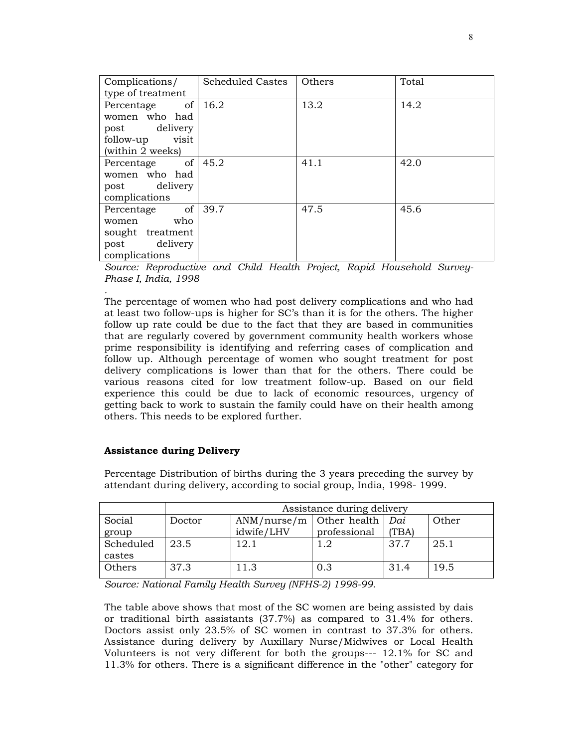| Complications/                | Scheduled Castes | Others | Total |
|-------------------------------|------------------|--------|-------|
| type of treatment             |                  |        |       |
| of <sub>1</sub><br>Percentage | 16.2             | 13.2   | 14.2  |
| women who had                 |                  |        |       |
| post delivery                 |                  |        |       |
| follow-up<br>visit            |                  |        |       |
| (within 2 weeks)              |                  |        |       |
| Percentage of                 | 45.2             | 41.1   | 42.0  |
| women who had                 |                  |        |       |
| post delivery                 |                  |        |       |
| complications                 |                  |        |       |
| of <sub>1</sub><br>Percentage | 39.7             | 47.5   | 45.6  |
| who<br>women                  |                  |        |       |
| sought treatment              |                  |        |       |
| post delivery                 |                  |        |       |
| complications                 |                  |        |       |

*Source: Reproductive and Child Health Project, Rapid Household Survey-Phase I, India, 1998* 

*.*  The percentage of women who had post delivery complications and who had at least two follow-ups is higher for SC's than it is for the others. The higher follow up rate could be due to the fact that they are based in communities that are regularly covered by government community health workers whose prime responsibility is identifying and referring cases of complication and follow up. Although percentage of women who sought treatment for post delivery complications is lower than that for the others. There could be various reasons cited for low treatment follow-up. Based on our field experience this could be due to lack of economic resources, urgency of getting back to work to sustain the family could have on their health among others. This needs to be explored further.

# **Assistance during Delivery**

Percentage Distribution of births during the 3 years preceding the survey by attendant during delivery, according to social group, India, 1998- 1999.

| Assistance during delivery |            |              |       |                            |  |
|----------------------------|------------|--------------|-------|----------------------------|--|
| Doctor                     |            |              | Dai   | Other                      |  |
|                            | idwife/LHV | professional | (TBA) |                            |  |
| 23.5                       | 12.1       | 1.2          | 37.7  | 25.1                       |  |
|                            |            |              |       |                            |  |
| 37.3                       | 11.3       | 0.3          | 31.4  | 19.5                       |  |
|                            |            |              |       | $ANM/nurse/m$ Other health |  |

*Source: National Family Health Survey (NFHS-2) 1998-99.* 

The table above shows that most of the SC women are being assisted by dais or traditional birth assistants (37.7%) as compared to 31.4% for others. Doctors assist only 23.5% of SC women in contrast to 37.3% for others. Assistance during delivery by Auxillary Nurse/Midwives or Local Health Volunteers is not very different for both the groups--- 12.1% for SC and 11.3% for others. There is a significant difference in the "other" category for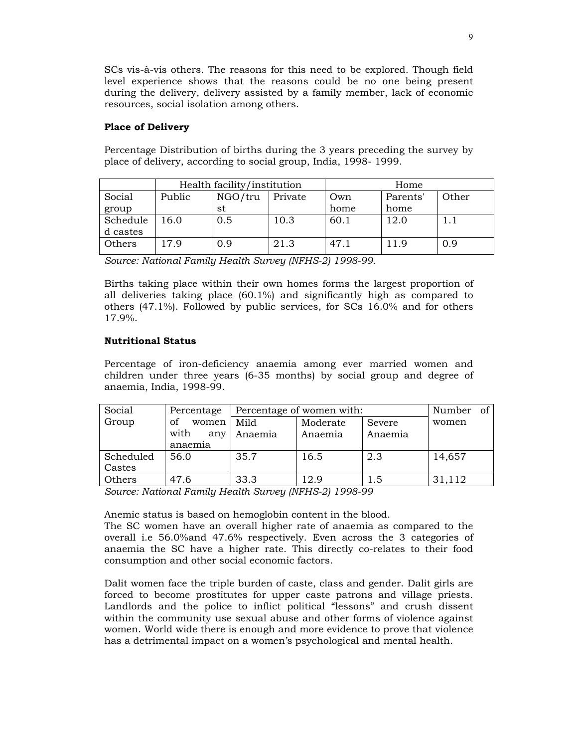SCs vis-à-vis others. The reasons for this need to be explored. Though field level experience shows that the reasons could be no one being present during the delivery, delivery assisted by a family member, lack of economic resources, social isolation among others.

## **Place of Delivery**

Percentage Distribution of births during the 3 years preceding the survey by place of delivery, according to social group, India, 1998- 1999.

|          | Health facility/institution |         |         | Home |          |       |
|----------|-----------------------------|---------|---------|------|----------|-------|
| Social   | Public                      | NGO/tru | Private | Own  | Parents' | Other |
| group    |                             | st      |         | home | home     |       |
| Schedule | 16.0                        | 0.5     | 10.3    | 60.1 | 12.0     |       |
| d castes |                             |         |         |      |          |       |
| Others   | 17.9                        | 0.9     | 21.3    | 47.1 | 11.9     | 0.9   |

*Source: National Family Health Survey (NFHS-2) 1998-99.* 

Births taking place within their own homes forms the largest proportion of all deliveries taking place (60.1%) and significantly high as compared to others (47.1%). Followed by public services, for SCs 16.0% and for others 17.9%.

# **Nutritional Status**

Percentage of iron-deficiency anaemia among ever married women and children under three years (6-35 months) by social group and degree of anaemia, India, 1998-99.

| Social    | Percentage  | Percentage of women with: |          |         | Number of |  |
|-----------|-------------|---------------------------|----------|---------|-----------|--|
| Group     | οf<br>women | Mild                      | Moderate | Severe  | women     |  |
|           | with<br>any | Anaemia                   | Anaemia  | Anaemia |           |  |
|           | anaemia     |                           |          |         |           |  |
| Scheduled | 56.0        | 35.7                      | 16.5     | 2.3     | 14,657    |  |
| Castes    |             |                           |          |         |           |  |
| Others    | 47.6        | 33.3                      | 12.9     | 1.5     | 31,112    |  |

*Source: National Family Health Survey (NFHS-2) 1998-99* 

Anemic status is based on hemoglobin content in the blood.

The SC women have an overall higher rate of anaemia as compared to the overall i.e 56.0%and 47.6% respectively. Even across the 3 categories of anaemia the SC have a higher rate. This directly co-relates to their food consumption and other social economic factors.

Dalit women face the triple burden of caste, class and gender. Dalit girls are forced to become prostitutes for upper caste patrons and village priests. Landlords and the police to inflict political "lessons" and crush dissent within the community use sexual abuse and other forms of violence against women. World wide there is enough and more evidence to prove that violence has a detrimental impact on a women's psychological and mental health.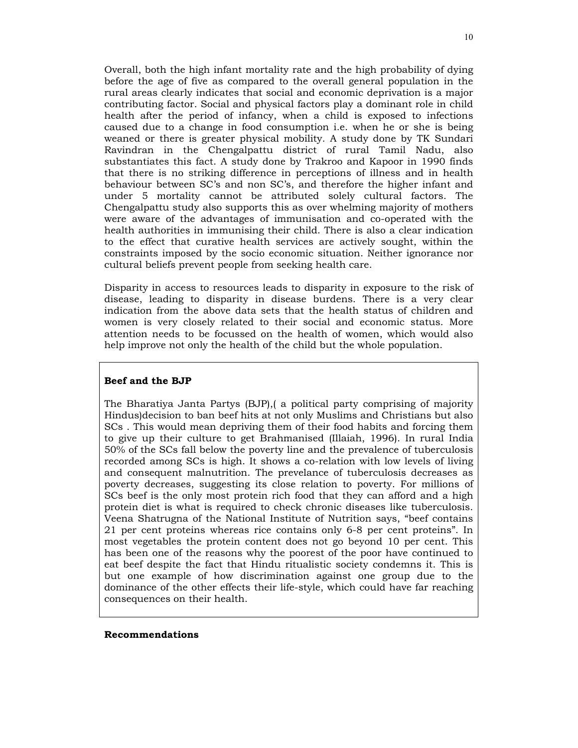Overall, both the high infant mortality rate and the high probability of dying before the age of five as compared to the overall general population in the rural areas clearly indicates that social and economic deprivation is a major contributing factor. Social and physical factors play a dominant role in child health after the period of infancy, when a child is exposed to infections caused due to a change in food consumption i.e. when he or she is being weaned or there is greater physical mobility. A study done by TK Sundari Ravindran in the Chengalpattu district of rural Tamil Nadu, also substantiates this fact. A study done by Trakroo and Kapoor in 1990 finds that there is no striking difference in perceptions of illness and in health behaviour between SC's and non SC's, and therefore the higher infant and under 5 mortality cannot be attributed solely cultural factors. The Chengalpattu study also supports this as over whelming majority of mothers were aware of the advantages of immunisation and co-operated with the health authorities in immunising their child. There is also a clear indication to the effect that curative health services are actively sought, within the constraints imposed by the socio economic situation. Neither ignorance nor cultural beliefs prevent people from seeking health care.

Disparity in access to resources leads to disparity in exposure to the risk of disease, leading to disparity in disease burdens. There is a very clear indication from the above data sets that the health status of children and women is very closely related to their social and economic status. More attention needs to be focussed on the health of women, which would also help improve not only the health of the child but the whole population.

### **Beef and the BJP**

The Bharatiya Janta Partys (BJP),( a political party comprising of majority Hindus)decision to ban beef hits at not only Muslims and Christians but also SCs . This would mean depriving them of their food habits and forcing them to give up their culture to get Brahmanised (Illaiah, 1996). In rural India 50% of the SCs fall below the poverty line and the prevalence of tuberculosis recorded among SCs is high. It shows a co-relation with low levels of living and consequent malnutrition. The prevelance of tuberculosis decreases as poverty decreases, suggesting its close relation to poverty. For millions of SCs beef is the only most protein rich food that they can afford and a high protein diet is what is required to check chronic diseases like tuberculosis. Veena Shatrugna of the National Institute of Nutrition says, "beef contains 21 per cent proteins whereas rice contains only 6-8 per cent proteins". In most vegetables the protein content does not go beyond 10 per cent. This has been one of the reasons why the poorest of the poor have continued to eat beef despite the fact that Hindu ritualistic society condemns it. This is but one example of how discrimination against one group due to the dominance of the other effects their life-style, which could have far reaching consequences on their health.

#### **Recommendations**